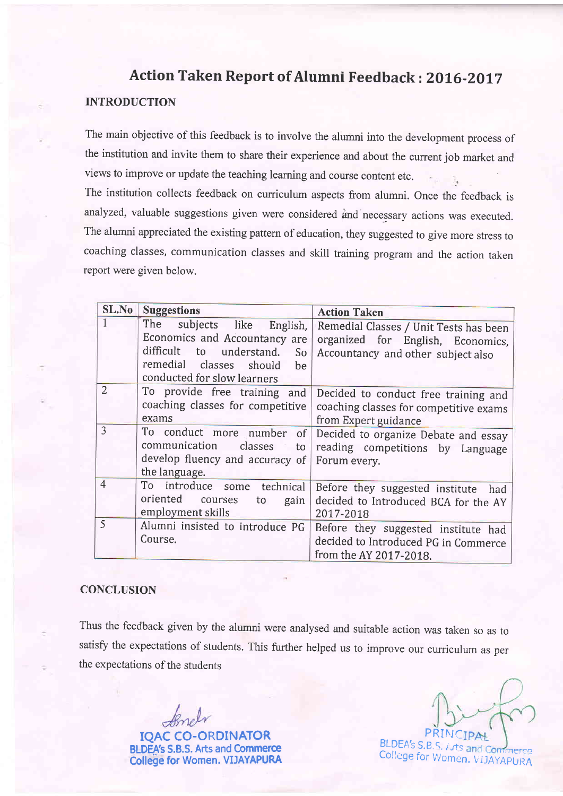# Action Taken Report of Alumni Feedback : 2016-2017

### INTRODUCTION

The main objective of this feedback is to involve the alumni into the development process of the institution and invite them to share their experience and about the current job market and views to improve or update the teaching learning and course content etc.

The institution collects feedback on curriculum aspects from alumni. Once the feedback is analyzed, valuable suggestions given were considered ind necessary actions was executed. The alumni appreciated the existing pattern of education, they suggested to give more stress to coaching classes, communication classes and skill training program and the action taken report were given below.

| SL.No          | <b>Suggestions</b>                                                                                                                                               | <b>Action Taken</b>                                                                                               |
|----------------|------------------------------------------------------------------------------------------------------------------------------------------------------------------|-------------------------------------------------------------------------------------------------------------------|
|                | The<br>subjects like English,<br>Economics and Accountancy are<br>difficult to understand.<br>So<br>remedial classes should<br>be<br>conducted for slow learners | Remedial Classes / Unit Tests has been<br>organized for English, Economics,<br>Accountancy and other subject also |
| $\overline{2}$ | To provide free training and<br>coaching classes for competitive<br>exams                                                                                        | Decided to conduct free training and<br>coaching classes for competitive exams<br>from Expert guidance            |
| 3              | To conduct more number<br>of<br>communication<br>classes<br>to<br>develop fluency and accuracy of<br>the language.                                               | Decided to organize Debate and essay<br>reading competitions by Language<br>Forum every.                          |
| $\overline{4}$ | To introduce some technical<br>oriented<br>courses<br>to<br>gain<br>employment skills                                                                            | Before they suggested institute<br>had<br>decided to Introduced BCA for the AY<br>2017-2018                       |
| $\overline{5}$ | Alumni insisted to introduce PG<br>Course.                                                                                                                       | Before they suggested institute had<br>decided to Introduced PG in Commerce<br>from the AY 2017-2018.             |

#### **CONCLUSION**

Thus the feedback given by the alumni were analysed and suitable action was taken so as to satisfy the expectations of students. This further helped us to improve our curriculum as per the expectations of the students

IQAC CO-ORDINATOR **BLDEA's S.B.S. Arts and Commerce** College for Women. VIJAYAPURA

PRINC  $B\mathsf{LDEA}$ 's  $\mathsf{S}.\mathsf{B}.\mathsf{S},\mathsf{A}.\mathsf{t}$ s College for Women. VIJAYAPURA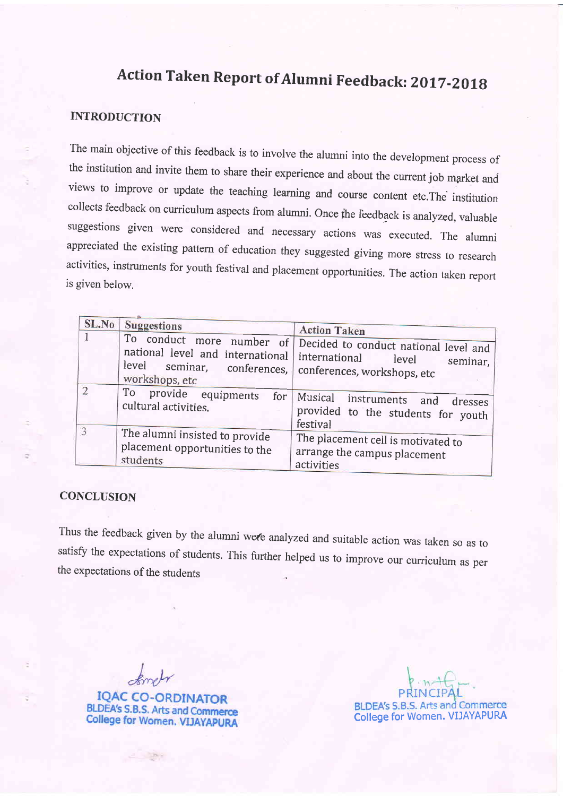# Action Taken Report of Alumni Feedback: 2017-2018

# INTRODUCTION

The main objective of this feedback is to involve the alumni into the development process of the institution and invite them to share their experience and about the current job market and views to improve or update the teaching learning and course content etc.The institution collects feedback on curriculum aspects from alumni. once fhe feedback is analyzed, valuable suggestions given were considered and necessary actions was executed. The alumni appreciated the existing pattern of education they suggested giving more stress to research activities, instruments for youth festival and placement opportunities. The action taken report is given below.

| SL.No          | <b>Suggestions</b><br>To conduct more number of                                                                             | <b>Action Taken</b><br>Decided to conduct national level and                            |
|----------------|-----------------------------------------------------------------------------------------------------------------------------|-----------------------------------------------------------------------------------------|
|                | national level and international international<br>level seminar, conferences, conferences, workshops, etc<br>workshops, etc | level<br>seminar,                                                                       |
| $\overline{2}$ | To provide equipments<br>for<br>cultural activities.                                                                        | Musical<br>instruments and<br>dresses<br>provided to the students for youth<br>festival |
| 3              | The alumni insisted to provide<br>placement opportunities to the<br>students                                                | The placement cell is motivated to<br>arrange the campus placement<br>activities        |

#### **CONCLUSION**

Thus the feedback given by the alumni were analyzed and suitable action was taken so as to satisfy the expectations of students. This further helped us to improve our curriculum as per the expectations of the students

**IQAC CO-ORDINATOR BLDEA's S.B.S. Arts and Commerce College for Women. VIJAYAPURA** 

**BLDEA's S.B.S. Arts and Commerce** College for Women. VIJAYAPURA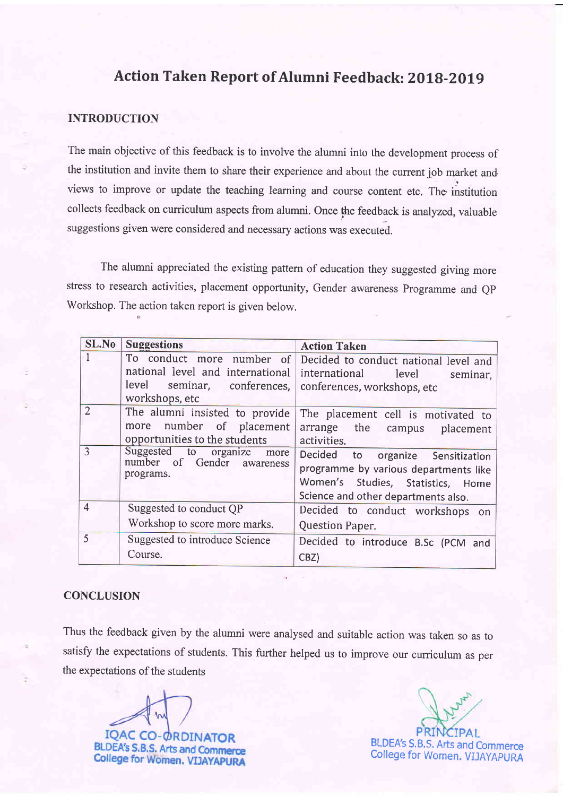# Action Taken Report of Alumni Feedback: 2018-2019

### INTRODUCTION

The main objective of this feedback is to involve the alumni into the development process of the institution and invite them to share their experience and about the current job market and views to improve or update the teaching learning and course content etc. The institution collects feedback on curriculum aspects from alumni. Once the feedback is analyzed, valuable suggestions given were considered and necessary actions was executed.

The alumni appreciated the existing pattern of education they suggested giving more stress to research activities, placement opportunity, Gender awareness Programme and QP Workshop. The action taken report is given below.

| SL.No          | <b>Suggestions</b>                                                                                                | <b>Action Taken</b>                                                                                                                                    |
|----------------|-------------------------------------------------------------------------------------------------------------------|--------------------------------------------------------------------------------------------------------------------------------------------------------|
|                | To conduct more number of<br>national level and international<br>level<br>seminar, conferences,<br>workshops, etc | Decided to conduct national level and<br>international level<br>seminar,<br>conferences, workshops, etc                                                |
| $\overline{2}$ | The alumni insisted to provide<br>more number of placement<br>opportunities to the students                       | The placement cell is motivated to<br>arrange the campus placement<br>activities.                                                                      |
| 3              | Suggested to<br>organize<br>more<br>number of Gender awareness<br>programs.                                       | Decided to organize Sensitization<br>programme by various departments like<br>Women's Studies, Statistics, Home<br>Science and other departments also. |
| $\overline{4}$ | Suggested to conduct QP<br>Workshop to score more marks.                                                          | Decided to conduct workshops on                                                                                                                        |
| 5              | Suggested to introduce Science<br>Course.                                                                         | Question Paper.<br>Decided to introduce B.Sc (PCM and<br>CBZ)                                                                                          |

#### **CONCLUSION**

Thus the feedback given by the alumni were analysed and suitable action was taken so as to satisfy the expectations of students. This further helped us to improve our curriculum as per the expectations of the students

**BLDEA's S.B.S. Arts and Commerce College for Women. VIJAYAPURA** 

BLDEA'S S.B.S. Arts and Commerce College for Women. VIJAYAPURA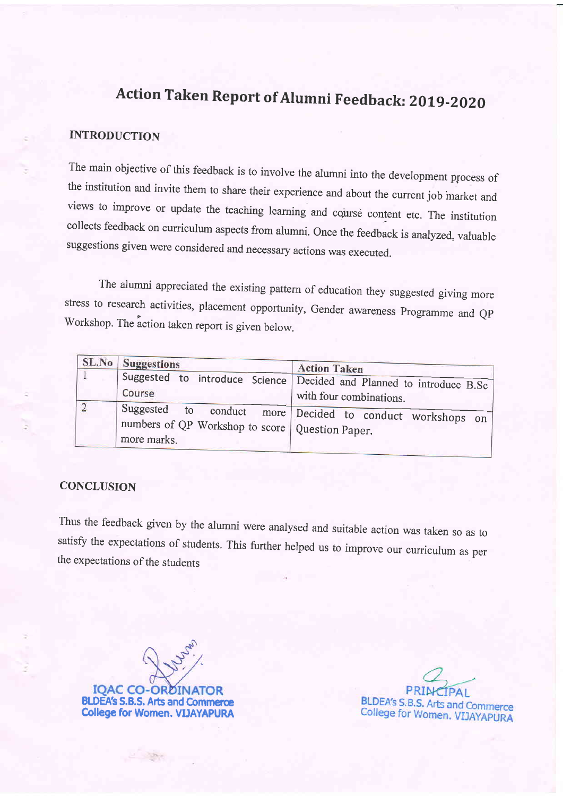# Action Taken Report of Alumni Feedback: 2019-2020

## INTRODUCTION

The main objective of this feedback is to involve the alumni into the development process of the institution and invite them to share their experience and about the current job market and views to improve or update the teaching learning and course content etc. The institution collects feedback on curriculum aspects from alumni. once the feedback is analyzed, valuable suggestions given were considered and necessary actions was executed.

The alumni appreciated the existing pattern of education they suggested giving more stress to research activities, placement opportunity, Gender awareness Programme and QP Workshop. The action taken report is given below.

| <b>SL.No</b> Suggestions                                         | <b>Action Taken</b>                                                                             |
|------------------------------------------------------------------|-------------------------------------------------------------------------------------------------|
| Course                                                           | Suggested to introduce Science Decided and Planned to introduce B.Sc<br>with four combinations. |
| numbers of QP Workshop to score   Question Paper.<br>more marks. | Suggested to conduct more Decided to conduct workshops on                                       |

### **CONCLUSION**

Thus the feedback given by the alumni were analysed and suitable action was taken so as to satisfy the expectations of students. This further helped us to improve our curriculum as per the expectations of the students

**IOAC CO-OR** BLDEA's S.B.S. Arts and Commerce College for Women. VIIAYAPURA

BLDEA's S.B.S. Arts and Commerce College for Women, VIJAYAPURA